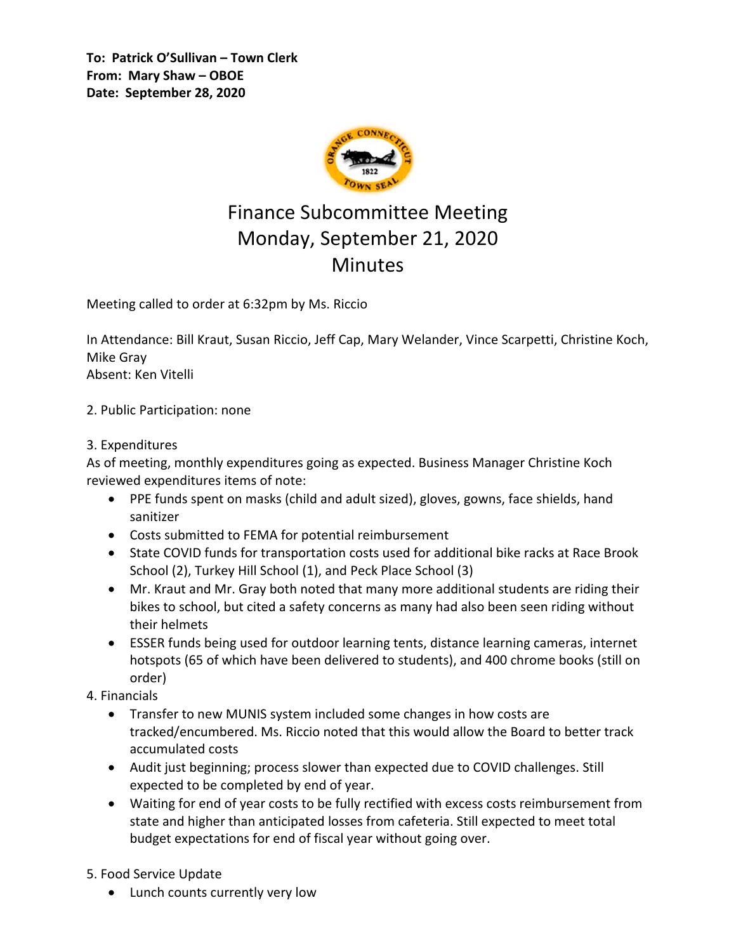**To: Patrick O'Sullivan – Town Clerk From: Mary Shaw – OBOE Date: September 28, 2020**



## Finance Subcommittee Meeting Monday, September 21, 2020 **Minutes**

Meeting called to order at 6:32pm by Ms. Riccio

In Attendance: Bill Kraut, Susan Riccio, Jeff Cap, Mary Welander, Vince Scarpetti, Christine Koch, Mike Gray Absent: Ken Vitelli

2. Public Participation: none

## 3. Expenditures

As of meeting, monthly expenditures going as expected. Business Manager Christine Koch reviewed expenditures items of note:

- PPE funds spent on masks (child and adult sized), gloves, gowns, face shields, hand sanitizer
- Costs submitted to FEMA for potential reimbursement
- State COVID funds for transportation costs used for additional bike racks at Race Brook School (2), Turkey Hill School (1), and Peck Place School (3)
- Mr. Kraut and Mr. Gray both noted that many more additional students are riding their bikes to school, but cited a safety concerns as many had also been seen riding without their helmets
- ESSER funds being used for outdoor learning tents, distance learning cameras, internet hotspots (65 of which have been delivered to students), and 400 chrome books (still on order)

## 4. Financials

- Transfer to new MUNIS system included some changes in how costs are tracked/encumbered. Ms. Riccio noted that this would allow the Board to better track accumulated costs
- Audit just beginning; process slower than expected due to COVID challenges. Still expected to be completed by end of year.
- Waiting for end of year costs to be fully rectified with excess costs reimbursement from state and higher than anticipated losses from cafeteria. Still expected to meet total budget expectations for end of fiscal year without going over.

5. Food Service Update

Lunch counts currently very low